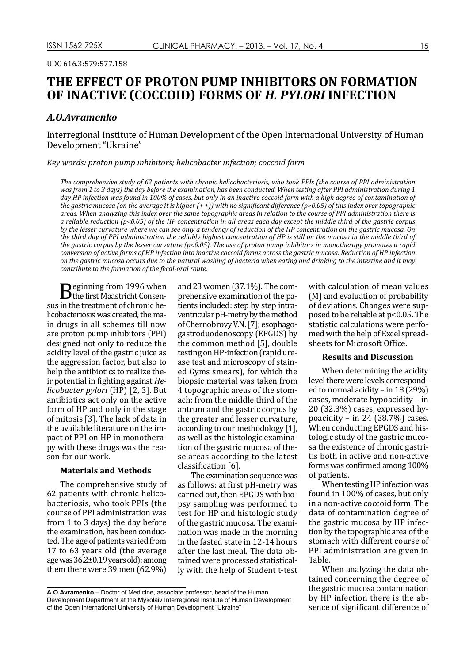UDC 616.3:579:577.158

# **THE EFFECT OF PROTON PUMP INHIBITORS ON FORMATION OF INACTIVE (COCCOID) FORMS OF** *H. PYLORI* **INFECTION**

## *A.O.Avramenkо*

Interregional Institute of Human Development of the Open International University of Human Development "Ukraine"

*Key words: proton pump inhibitors; helicobacter infection; coccoid form*

*The comprehensive study of 62 patients with chronic helicobacteriosis, who took PPIs (the course of PPI administration was from 1 to 3 days) the day before the examination, has been conducted. When testing after PPI administration during 1 day HP infection was found in 100% of cases, but only in an inactive coccoid form with a high degree of contamination of the gastric mucosa (on the average it is higher (+ +)) with no significant difference (p>0.05) of this index over topographic areas. When analyzing this index over the same topographic areas in relation to the course of PPI administration there is a reliable reduction (p*<*0.05) of the HP concentration in all areas each day except the middle third of the gastric corpus by the lesser curvature where we can see only a tendency of reduction of the HP concentration on the gastric mucosa. On the third day of PPI administration the reliably highest concentration of HP is still on the mucosa in the middle third of the gastric corpus by the lesser curvature (p*<*0.05). The use of proton pump inhibitors in monotherapy promotes a rapid conversion of active forms of HP infection into inactive coccoid forms across the gastric mucosa. Reduction of HP infection on the gastric mucosa occurs due to the natural washing of bacteria when eating and drinking to the intestine and it may contribute to the formation of the fecal-oral route.*

**B**eginning from 1996 when<br>in the treatment of chronic hesus in the treatment of chronic helicobacteriosis was created, the main drugs in all schemes till now are proton pump inhibitors (PPI) designed not only to reduce the acidity level of the gastric juice as the aggression factor, but also to help the antibiotics to realize their potential in fighting against *Helicobacter pylori* (НР) [2, 3]. But antibiotics act only on the active form of HP and only in the stage of mitosis [3]. The lack of data in the available literature on the impact of PPI on HP in monotherapy with these drugs was the reason for our work.

## **Materials and Methods**

The comprehensive study of 62 patients with chronic helicobacteriosis, who took PPIs (the course of PPI administration was from 1 to 3 days) the day before the examination, has been conducted. The age of patients varied from 17 to 63 years old (the average age was 36.2±0.19 years old); among them there were 39 men (62.9%) and 23 women (37.1%). The comprehensive examination of the patients included: step by step intraventricular pH-metry by the method of Chernobrovy V.N.[7]; esophagogastroduodenoscopy (EPGDS) by the common method [5], double testing on HP-infection (rapid urease test and microscopy of stained Gyms smears), for which the biopsic material was taken from 4 topographic areas of the stomach: from the middle third of the antrum and the gastric corpus by the greater and lesser curvature, according to our methodology [1], as well as the histologic examination of the gastric mucosa of these areas according to the latest classification [6].

The examination sequence was as follows: at first pH-metry was carried out, then EPGDS with biopsy sampling was performed to test for HP and histologic study of the gastric mucosa. The examination was made in the morning in the fasted state in 12-14 hours after the last meal. The data obtained were processed statistically with the help of Student t-test with calculation of mean values (M) and evaluation of probability of deviations. Changes were supposed to be reliable at p<0.05. The statistic calculations were perfomed with the help of Excel spreadsheets for Microsoft Office.

## **Results and Discussion**

When determining the acidity level there were levels corresponded to normal acidity – in 18 (29%) cases, moderate hypoacidity – in 20 (32.3%) cases, expressed hypoacidity – in 24 (38.7%) cases. When conducting EPGDS and histologic study of the gastric mucosa the existence of chronic gastritis both in active and non-active forms was confirmed among 100% of patients.

When testing HP infection was found in 100% of cases, but only in a non-active coccoid form. The data of contamination degree of the gastric mucosa by HP infection by the topographic area of the stomach with different course of PPI administration are given in Table.

When analyzing the data obtained concerning the degree of the gastric mucosa contamination by HP infection there is the absence of significant difference of

**A.O.Avramenkо** – Doctor of Medicine, associate professor, head of the Human Development Department at the Mykolaiv Interregional Institute of Human Development of the Open International University of Human Development "Ukraine"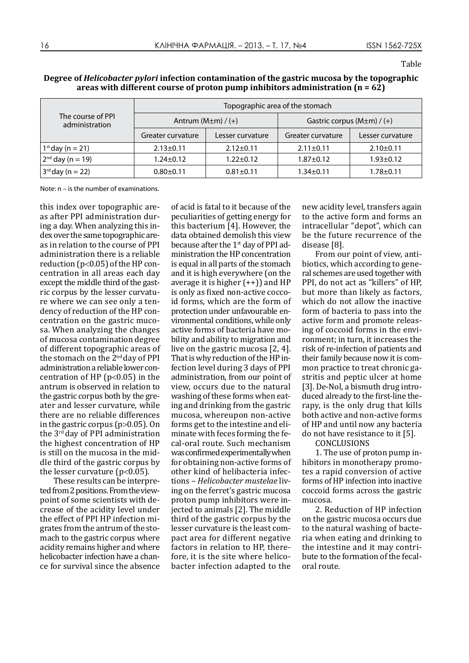| The course of PPI<br>administration | Topographic area of the stomach |                  |                                  |                  |
|-------------------------------------|---------------------------------|------------------|----------------------------------|------------------|
|                                     | Antrum $(M \pm m) / (+)$        |                  | Gastric corpus $(M \pm m) / (+)$ |                  |
|                                     | Greater curvature               | Lesser curvature | Greater curvature                | Lesser curvature |
| $1^{st}$ day (n = 21)               | $2.13 \pm 0.11$                 | $2.12 \pm 0.11$  | $2.11 \pm 0.11$                  | $2.10 \pm 0.11$  |
| $2^{nd}$ day (n = 19)               | $1.24 \pm 0.12$                 | $1.22 \pm 0.12$  | $1.87 + 0.12$                    | $1.93 \pm 0.12$  |
| $3^{rd}$ day (n = 22)               | $0.80 \pm 0.11$                 | $0.81 \pm 0.11$  | $1.34 \pm 0.11$                  | $1.78 + 0.11$    |

**Degree of** *Helicobacter pylori* **infection contamination of the gastric mucosa by the topographic areas with different course of proton pump inhibitors administration (n = 62)**

Note: n – is the number of examinations.

this index over topographic areas after PPI administration during a day. When analyzing this index over the same topographic areas in relation to the course of PPI administration there is a reliable reduction (p<0.05) of the HP concentration in all areas each day except the middle third of the gastric corpus by the lesser curvature where we can see only a tendency of reduction of the HP concentration on the gastric mucosa. When analyzing the changes of mucosa contamination degree of different topographic areas of the stomach on the 2nd day of PPI administration a reliable lower concentration of HP ( $p<0.05$ ) in the antrum is observed in relation to the gastric corpus both by the greater and lesser curvature, while there are no reliable differences in the gastric corpus (p>0.05). On the 3rd day of PPI administration the highest concentration of HP is still on the mucosa in the middle third of the gastric corpus by the lesser curvature ( $p<0.05$ ).

These results can be interpreted from 2 positions. From the viewpoint of some scientists with decrease of the acidity level under the effect of PPI HP infection migrates from the antrum of the stomach to the gastric corpus where acidity remains higher and where helicobacter infection have a chance for survival since the absence

of acid is fatal to it because of the peculiarities of getting energy for this bacterium [4]. However, the data obtained demolish this view because after the 1<sup>st</sup> day of PPI administration the HP concentration is equal in all parts of the stomach and it is high everywhere (on the average it is higher  $(+))$  and HP is only as fixed non-active coccoid forms, which are the form of protection under unfavourable environmental conditions, while only active forms of bacteria have mobility and ability to migration and live on the gastric mucosa [2, 4]. That is why reduction of the HP infection level during 3 days of PPI administration, from our point of view, occurs due to the natural washing of these forms when eating and drinking from the gastric mucosa, whereupon non-active forms get to the intestine and eliminate with feces forming the fecal-oral route. Such mechanism was confirmed experimentally when for obtaining non-active forms of other kind of helibacteria infections – *Helicobacter mustelae* living on the ferret's gastric mucosa proton pump inhibitors were injected to animals [2]. The middle third of the gastric corpus by the lesser curvature is the least compact area for different negative factors in relation to HP, therefore, it is the site where helicobacter infection adapted to the

new acidity level, transfers again to the active form and forms an intracellular "depot", which can be the future recurrence of the disease [8].

From our point of view, antibiotics, which according to general schemes are used together with PPI, do not act as "killers" of HP, but more than likely as factors, which do not allow the inactive form of bacteria to pass into the active form and promote releasing of coccoid forms in the environment; in turn, it increases the risk of re-infection of patients and their family because now it is common practice to treat chronic gastritis and peptic ulcer at home [3]. De-Nol, a bismuth drug introduced already to the first-line therapy, is the only drug that kills both active and non-active forms of HP and until now any bacteria do not have resistance to it [5].

CONCLUSIONS

1. The use of proton pump inhibitors in monotherapy promotes a rapid conversion of active forms of HP infection into inactive coccoid forms across the gastric mucosa.

2. Reduction of HP infection on the gastric mucosa occurs due to the natural washing of bacteria when eating and drinking to the intestine and it may contribute to the formation of the fecaloral route.